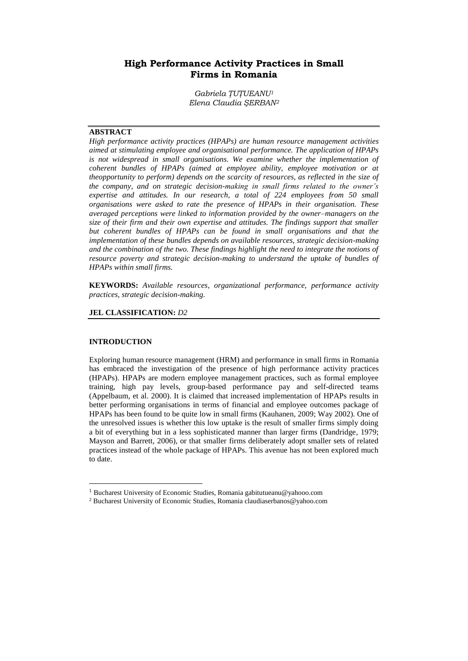# **High Performance Activity Practices in Small Firms in Romania**

*Gabriela ŢUŢUEANU<sup>1</sup> Elena Claudia ŞERBAN<sup>2</sup>*

### **ABSTRACT**

*High performance activity practices (HPAPs) are human resource management activities aimed at stimulating employee and organisational performance. The application of HPAPs*  is not widespread in small organisations. We examine whether the implementation of *coherent bundles of HPAPs (aimed at employee ability, employee motivation or at theopportunity to perform) depends on the scarcity of resources, as reflected in the size of the company, and on strategic decision-making in small firms related to the owner's expertise and attitudes. In our research, a total of 224 employees from 50 small organisations were asked to rate the presence of HPAPs in their organisation. These averaged perceptions were linked to information provided by the owner–managers on the size of their firm and their own expertise and attitudes. The findings support that smaller but coherent bundles of HPAPs can be found in small organisations and that the implementation of these bundles depends on available resources, strategic decision-making and the combination of the two. These findings highlight the need to integrate the notions of resource poverty and strategic decision-making to understand the uptake of bundles of HPAPs within small firms.*

**KEYWORDS:** *Available resources*, *organizational performance, performance activity practices, strategic decision-making.*

### **JEL CLASSIFICATION:** *D2*

### **INTRODUCTION**

 $\overline{a}$ 

Exploring human resource management (HRM) and performance in small firms in Romania has embraced the investigation of the presence of high performance activity practices (HPAPs). HPAPs are modern employee management practices, such as formal employee training, high pay levels, group-based performance pay and self-directed teams (Appelbaum, et al. 2000). It is claimed that increased implementation of HPAPs results in better performing organisations in terms of financial and employee outcomes package of HPAPs has been found to be quite low in small firms (Kauhanen, 2009; Way 2002). One of the unresolved issues is whether this low uptake is the result of smaller firms simply doing a bit of everything but in a less sophisticated manner than larger firms (Dandridge, 1979; Mayson and Barrett, 2006), or that smaller firms deliberately adopt smaller sets of related practices instead of the whole package of HPAPs. This avenue has not been explored much to date.

<sup>&</sup>lt;sup>1</sup> Bucharest University of Economic Studies, Romania gabitutueanu@yahooo.com

<sup>2</sup> Bucharest University of Economic Studies, Romania claudiaserbanos@yahoo.com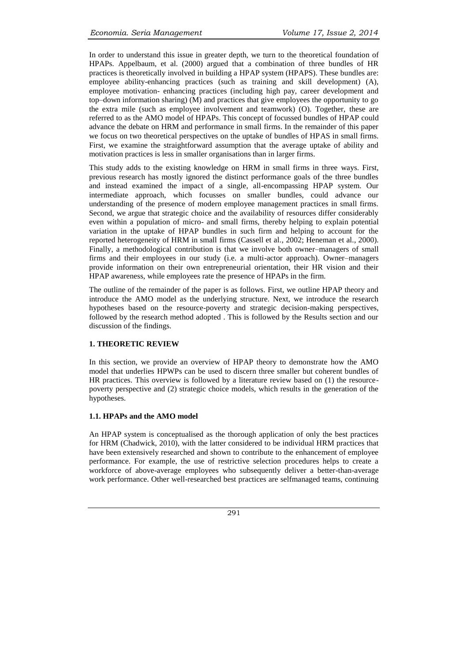In order to understand this issue in greater depth, we turn to the theoretical foundation of HPAPs. Appelbaum, et al. (2000) argued that a combination of three bundles of HR practices is theoretically involved in building a HPAP system (HPAPS). These bundles are: employee ability-enhancing practices (such as training and skill development) (A), employee motivation- enhancing practices (including high pay, career development and top–down information sharing) (M) and practices that give employees the opportunity to go the extra mile (such as employee involvement and teamwork) (O). Together, these are referred to as the AMO model of HPAPs. This concept of focussed bundles of HPAP could advance the debate on HRM and performance in small firms. In the remainder of this paper we focus on two theoretical perspectives on the uptake of bundles of HPAS in small firms. First, we examine the straightforward assumption that the average uptake of ability and motivation practices is less in smaller organisations than in larger firms.

This study adds to the existing knowledge on HRM in small firms in three ways. First, previous research has mostly ignored the distinct performance goals of the three bundles and instead examined the impact of a single, all-encompassing HPAP system. Our intermediate approach, which focusses on smaller bundles, could advance our understanding of the presence of modern employee management practices in small firms. Second, we argue that strategic choice and the availability of resources differ considerably even within a population of micro- and small firms, thereby helping to explain potential variation in the uptake of HPAP bundles in such firm and helping to account for the reported heterogeneity of HRM in small firms (Cassell et al., 2002; Heneman et al., 2000). Finally, a methodological contribution is that we involve both owner–managers of small firms and their employees in our study (i.e. a multi-actor approach). Owner–managers provide information on their own entrepreneurial orientation, their HR vision and their HPAP awareness, while employees rate the presence of HPAPs in the firm.

The outline of the remainder of the paper is as follows. First, we outline HPAP theory and introduce the AMO model as the underlying structure. Next, we introduce the research hypotheses based on the resource-poverty and strategic decision-making perspectives, followed by the research method adopted . This is followed by the Results section and our discussion of the findings.

# **1. THEORETIC REVIEW**

In this section, we provide an overview of HPAP theory to demonstrate how the AMO model that underlies HPWPs can be used to discern three smaller but coherent bundles of HR practices. This overview is followed by a literature review based on (1) the resourcepoverty perspective and (2) strategic choice models, which results in the generation of the hypotheses.

# **1.1. HPAPs and the AMO model**

An HPAP system is conceptualised as the thorough application of only the best practices for HRM (Chadwick, 2010), with the latter considered to be individual HRM practices that have been extensively researched and shown to contribute to the enhancement of employee performance. For example, the use of restrictive selection procedures helps to create a workforce of above-average employees who subsequently deliver a better-than-average work performance. Other well-researched best practices are selfmanaged teams, continuing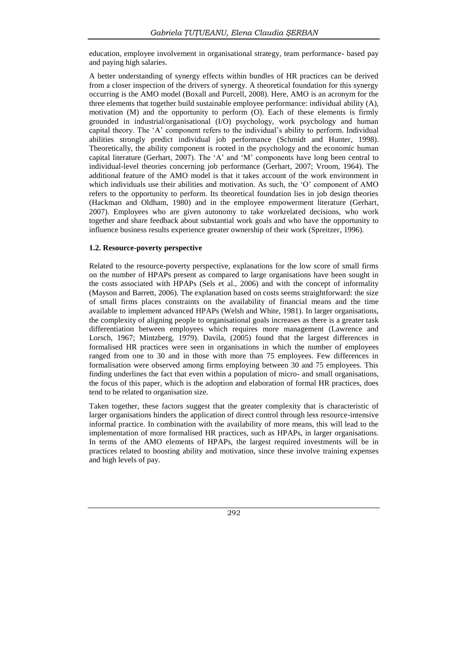education, employee involvement in organisational strategy, team performance- based pay and paying high salaries.

A better understanding of synergy effects within bundles of HR practices can be derived from a closer inspection of the drivers of synergy. A theoretical foundation for this synergy occurring is the AMO model (Boxall and Purcell, 2008). Here, AMO is an acronym for the three elements that together build sustainable employee performance: individual ability (A), motivation (M) and the opportunity to perform (O). Each of these elements is firmly grounded in industrial/organisational (I/O) psychology, work psychology and human capital theory. The 'A' component refers to the individual's ability to perform. Individual abilities strongly predict individual job performance (Schmidt and Hunter, 1998). Theoretically, the ability component is rooted in the psychology and the economic human capital literature (Gerhart, 2007). The 'A' and 'M' components have long been central to individual-level theories concerning job performance (Gerhart, 2007; Vroom, 1964). The additional feature of the AMO model is that it takes account of the work environment in which individuals use their abilities and motivation. As such, the 'O' component of AMO refers to the opportunity to perform. Its theoretical foundation lies in job design theories (Hackman and Oldham, 1980) and in the employee empowerment literature (Gerhart, 2007). Employees who are given autonomy to take workrelated decisions, who work together and share feedback about substantial work goals and who have the opportunity to influence business results experience greater ownership of their work (Spreitzer, 1996).

# **1.2. Resource-poverty perspective**

Related to the resource-poverty perspective, explanations for the low score of small firms on the number of HPAPs present as compared to large organisations have been sought in the costs associated with HPAPs (Sels et al., 2006) and with the concept of informality (Mayson and Barrett, 2006). The explanation based on costs seems straightforward: the size of small firms places constraints on the availability of financial means and the time available to implement advanced HPAPs (Welsh and White, 1981). In larger organisations, the complexity of aligning people to organisational goals increases as there is a greater task differentiation between employees which requires more management (Lawrence and Lorsch, 1967; Mintzberg, 1979). Davila, (2005) found that the largest differences in formalised HR practices were seen in organisations in which the number of employees ranged from one to 30 and in those with more than 75 employees. Few differences in formalisation were observed among firms employing between 30 and 75 employees. This finding underlines the fact that even within a population of micro- and small organisations, the focus of this paper, which is the adoption and elaboration of formal HR practices, does tend to be related to organisation size.

Taken together, these factors suggest that the greater complexity that is characteristic of larger organisations hinders the application of direct control through less resource-intensive informal practice. In combination with the availability of more means, this will lead to the implementation of more formalised HR practices, such as HPAPs, in larger organisations. In terms of the AMO elements of HPAPs, the largest required investments will be in practices related to boosting ability and motivation, since these involve training expenses and high levels of pay.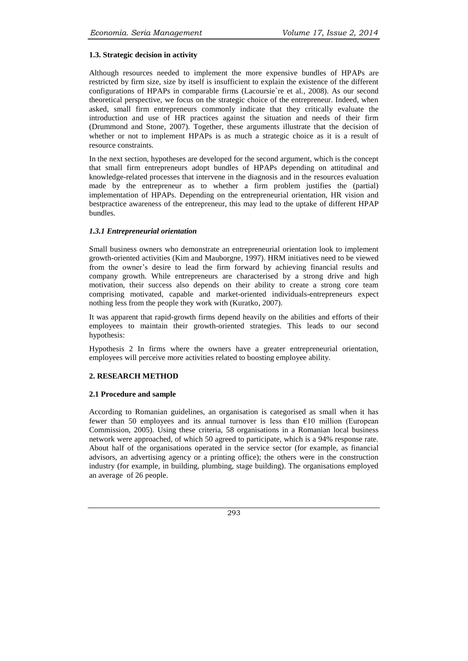# **1.3. Strategic decision in activity**

Although resources needed to implement the more expensive bundles of HPAPs are restricted by firm size, size by itself is insufficient to explain the existence of the different configurations of HPAPs in comparable firms (Lacoursie`re et al., 2008). As our second theoretical perspective, we focus on the strategic choice of the entrepreneur. Indeed, when asked, small firm entrepreneurs commonly indicate that they critically evaluate the introduction and use of HR practices against the situation and needs of their firm (Drummond and Stone, 2007). Together, these arguments illustrate that the decision of whether or not to implement HPAPs is as much a strategic choice as it is a result of resource constraints.

In the next section, hypotheses are developed for the second argument, which is the concept that small firm entrepreneurs adopt bundles of HPAPs depending on attitudinal and knowledge-related processes that intervene in the diagnosis and in the resources evaluation made by the entrepreneur as to whether a firm problem justifies the (partial) implementation of HPAPs. Depending on the entrepreneurial orientation, HR vision and bestpractice awareness of the entrepreneur, this may lead to the uptake of different HPAP bundles.

# *1.3.1 Entrepreneurial orientation*

Small business owners who demonstrate an entrepreneurial orientation look to implement growth-oriented activities (Kim and Mauborgne, 1997). HRM initiatives need to be viewed from the owner's desire to lead the firm forward by achieving financial results and company growth. While entrepreneurs are characterised by a strong drive and high motivation, their success also depends on their ability to create a strong core team comprising motivated, capable and market-oriented individuals-entrepreneurs expect nothing less from the people they work with (Kuratko, 2007).

It was apparent that rapid-growth firms depend heavily on the abilities and efforts of their employees to maintain their growth-oriented strategies. This leads to our second hypothesis:

Hypothesis 2 In firms where the owners have a greater entrepreneurial orientation, employees will perceive more activities related to boosting employee ability.

# **2. RESEARCH METHOD**

# **2.1 Procedure and sample**

According to Romanian guidelines, an organisation is categorised as small when it has fewer than 50 employees and its annual turnover is less than  $E10$  million (European Commission, 2005). Using these criteria, 58 organisations in a Romanian local business network were approached, of which 50 agreed to participate, which is a 94% response rate. About half of the organisations operated in the service sector (for example, as financial advisors, an advertising agency or a printing office); the others were in the construction industry (for example, in building, plumbing, stage building). The organisations employed an average of 26 people.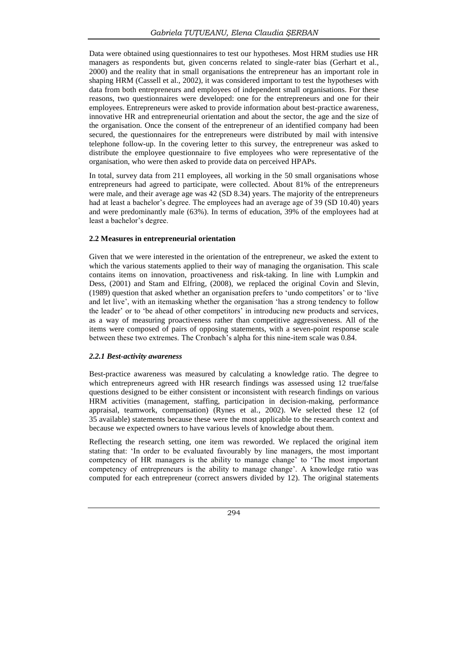Data were obtained using questionnaires to test our hypotheses. Most HRM studies use HR managers as respondents but, given concerns related to single-rater bias (Gerhart et al., 2000) and the reality that in small organisations the entrepreneur has an important role in shaping HRM (Cassell et al., 2002), it was considered important to test the hypotheses with data from both entrepreneurs and employees of independent small organisations. For these reasons, two questionnaires were developed: one for the entrepreneurs and one for their employees. Entrepreneurs were asked to provide information about best-practice awareness, innovative HR and entrepreneurial orientation and about the sector, the age and the size of the organisation. Once the consent of the entrepreneur of an identified company had been secured, the questionnaires for the entrepreneurs were distributed by mail with intensive telephone follow-up. In the covering letter to this survey, the entrepreneur was asked to distribute the employee questionnaire to five employees who were representative of the organisation, who were then asked to provide data on perceived HPAPs.

In total, survey data from 211 employees, all working in the 50 small organisations whose entrepreneurs had agreed to participate, were collected. About 81% of the entrepreneurs were male, and their average age was 42 (SD 8.34) years. The majority of the entrepreneurs had at least a bachelor's degree. The employees had an average age of 39 (SD 10.40) years and were predominantly male (63%). In terms of education, 39% of the employees had at least a bachelor's degree.

### **2.2 Measures in entrepreneurial orientation**

Given that we were interested in the orientation of the entrepreneur, we asked the extent to which the various statements applied to their way of managing the organisation. This scale contains items on innovation, proactiveness and risk-taking. In line with Lumpkin and Dess, (2001) and Stam and Elfring, (2008), we replaced the original Covin and Slevin, (1989) question that asked whether an organisation prefers to 'undo competitors' or to 'live and let live', with an itemasking whether the organisation 'has a strong tendency to follow the leader' or to 'be ahead of other competitors' in introducing new products and services, as a way of measuring proactiveness rather than competitive aggressiveness. All of the items were composed of pairs of opposing statements, with a seven-point response scale between these two extremes. The Cronbach's alpha for this nine-item scale was 0.84.

### *2.2.1 Best-activity awareness*

Best-practice awareness was measured by calculating a knowledge ratio. The degree to which entrepreneurs agreed with HR research findings was assessed using 12 true/false questions designed to be either consistent or inconsistent with research findings on various HRM activities (management, staffing, participation in decision-making, performance appraisal, teamwork, compensation) (Rynes et al., 2002). We selected these 12 (of 35 available) statements because these were the most applicable to the research context and because we expected owners to have various levels of knowledge about them.

Reflecting the research setting, one item was reworded. We replaced the original item stating that: 'In order to be evaluated favourably by line managers, the most important competency of HR managers is the ability to manage change' to 'The most important competency of entrepreneurs is the ability to manage change'. A knowledge ratio was computed for each entrepreneur (correct answers divided by 12). The original statements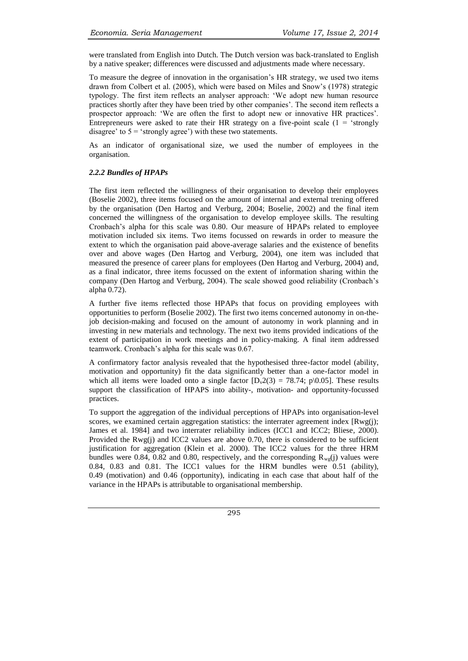were translated from English into Dutch. The Dutch version was back-translated to English by a native speaker; differences were discussed and adjustments made where necessary.

To measure the degree of innovation in the organisation's HR strategy, we used two items drawn from Colbert et al. (2005), which were based on Miles and Snow's (1978) strategic typology. The first item reflects an analyser approach: 'We adopt new human resource practices shortly after they have been tried by other companies'. The second item reflects a prospector approach: 'We are often the first to adopt new or innovative HR practices'. Entrepreneurs were asked to rate their HR strategy on a five-point scale  $(1 - \text{'strongly})$ disagree' to  $5 = 'strongly agree')$  with these two statements.

As an indicator of organisational size, we used the number of employees in the organisation.

# *2.2.2 Bundles of HPAPs*

The first item reflected the willingness of their organisation to develop their employees (Boselie 2002), three items focused on the amount of internal and external trening offered by the organisation (Den Hartog and Verburg, 2004; Boselie, 2002) and the final item concerned the willingness of the organisation to develop employee skills. The resulting Cronbach's alpha for this scale was 0.80. Our measure of HPAPs related to employee motivation included six items. Two items focussed on rewards in order to measure the extent to which the organisation paid above-average salaries and the existence of benefits over and above wages (Den Hartog and Verburg, 2004), one item was included that measured the presence of career plans for employees (Den Hartog and Verburg, 2004) and, as a final indicator, three items focussed on the extent of information sharing within the company (Den Hartog and Verburg, 2004). The scale showed good reliability (Cronbach's alpha 0.72).

A further five items reflected those HPAPs that focus on providing employees with opportunities to perform (Boselie 2002). The first two items concerned autonomy in on-thejob decision-making and focused on the amount of autonomy in work planning and in investing in new materials and technology. The next two items provided indications of the extent of participation in work meetings and in policy-making. A final item addressed teamwork. Cronbach's alpha for this scale was 0.67.

A confirmatory factor analysis revealed that the hypothesised three-factor model (ability, motivation and opportunity) fit the data significantly better than a one-factor model in which all items were loaded onto a single factor  $[D_v2(3) = 78.74; p\backslash0.05]$ . These results support the classification of HPAPS into ability-, motivation- and opportunity-focussed practices.

To support the aggregation of the individual perceptions of HPAPs into organisation-level scores, we examined certain aggregation statistics: the interrater agreement index  $[Rwg(i);$ James et al. 1984] and two interrater reliability indices (ICC1 and ICC2; Bliese, 2000). Provided the Rwg(j) and ICC2 values are above 0.70, there is considered to be sufficient justification for aggregation (Klein et al. 2000). The ICC2 values for the three HRM bundles were 0.84, 0.82 and 0.80, respectively, and the corresponding  $R_{wg}(j)$  values were 0.84, 0.83 and 0.81. The ICC1 values for the HRM bundles were 0.51 (ability), 0.49 (motivation) and 0.46 (opportunity), indicating in each case that about half of the variance in the HPAPs is attributable to organisational membership.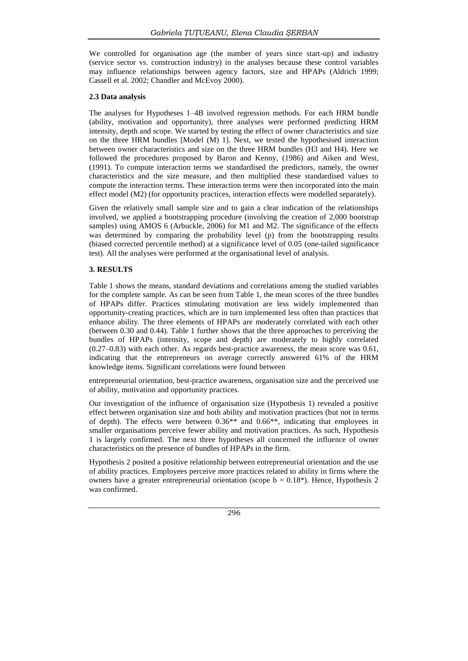We controlled for organisation age (the number of years since start-up) and industry (service sector vs. construction industry) in the analyses because these control variables may influence relationships between agency factors, size and HPAPs (Aldrich 1999; Cassell et al. 2002; Chandler and McEvoy 2000).

### **2.3 Data analysis**

The analyses for Hypotheses 1–4B involved regression methods. For each HRM bundle (ability, motivation and opportunity), three analyses were performed predicting HRM intensity, depth and scope. We started by testing the effect of owner characteristics and size on the three HRM bundles [Model (M) 1]. Next, we tested the hypothesised interaction between owner characteristics and size on the three HRM bundles (H3 and H4). Here we followed the procedures proposed by Baron and Kenny, (1986) and Aiken and West, (1991). To compute interaction terms we standardised the predictors, namely, the owner characteristics and the size measure, and then multiplied these standardised values to compute the interaction terms. These interaction terms were then incorporated into the main effect model (M2) (for opportunity practices, interaction effects were modelled separately).

Given the relatively small sample size and to gain a clear indication of the relationships involved, we applied a bootstrapping procedure (involving the creation of 2,000 bootstrap samples) using AMOS 6 (Arbuckle, 2006) for M1 and M2. The significance of the effects was determined by comparing the probability level (p) from the bootstrapping results (biased corrected percentile method) at a significance level of 0.05 (one-tailed significance test). All the analyses were performed at the organisational level of analysis.

### **3. RESULTS**

Table 1 shows the means, standard deviations and correlations among the studied variables for the complete sample. As can be seen from Table 1, the mean scores of the three bundles of HPAPs differ. Practices stimulating motivation are less widely implemented than opportunity-creating practices, which are in turn implemented less often than practices that enhance ability. The three elements of HPAPs are moderately correlated with each other (between 0.30 and 0.44). Table 1 further shows that the three approaches to perceiving the bundles of HPAPs (intensity, scope and depth) are moderately to highly correlated (0.27–0.83) with each other. As regards best-practice awareness, the mean score was 0.61, indicating that the entrepreneurs on average correctly answered 61% of the HRM knowledge items. Significant correlations were found between

entrepreneurial orientation, best-practice awareness, organisation size and the perceived use of ability, motivation and opportunity practices.

Our investigation of the influence of organisation size (Hypothesis 1) revealed a positive effect between organisation size and both ability and motivation practices (but not in terms of depth). The effects were between 0.36\*\* and 0.66\*\*, indicating that employees in smaller organisations perceive fewer ability and motivation practices. As such, Hypothesis 1 is largely confirmed. The next three hypotheses all concerned the influence of owner characteristics on the presence of bundles of HPAPs in the firm.

Hypothesis 2 posited a positive relationship between entrepreneurial orientation and the use of ability practices. Employees perceive more practices related to ability in firms where the owners have a greater entrepreneurial orientation (scope  $b = 0.18^*$ ). Hence, Hypothesis 2 was confirmed.

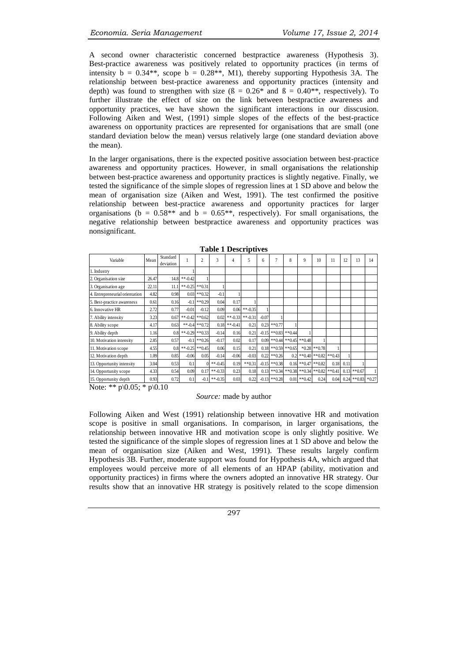A second owner characteristic concerned bestpractice awareness (Hypothesis 3). Best-practice awareness was positively related to opportunity practices (in terms of intensity  $b = 0.34**$ , scope  $b = 0.28**$ , M1), thereby supporting Hypothesis 3A. The relationship between best-practice awareness and opportunity practices (intensity and depth) was found to strengthen with size  $(\beta = 0.26^*$  and  $\beta = 0.40^{**}$ , respectively). To further illustrate the effect of size on the link between bestpractice awareness and opportunity practices, we have shown the significant interactions in our disscusion. Following Aiken and West, (1991) simple slopes of the effects of the best-practice awareness on opportunity practices are represented for organisations that are small (one standard deviation below the mean) versus relatively large (one standard deviation above the mean).

In the larger organisations, there is the expected positive association between best-practice awareness and opportunity practices. However, in small organisations the relationship between best-practice awareness and opportunity practices is slightly negative. Finally, we tested the significance of the simple slopes of regression lines at 1 SD above and below the mean of organisation size (Aiken and West, 1991). The test confirmed the positive relationship between best-practice awareness and opportunity practices for larger organisations (b =  $0.58**$  and b =  $0.65**$ , respectively). For small organisations, the negative relationship between bestpractice awareness and opportunity practices was nonsignificant.

| Variable                                                                                                                                                                                                                                                                                                                                                    | Mean        | Standard<br>deviation |                | $\overline{2}$  | 3         | 4         | 5               | 6       | 7              | 8            | 9                 | 10                         | 11                          | 12   | 13               | 14      |
|-------------------------------------------------------------------------------------------------------------------------------------------------------------------------------------------------------------------------------------------------------------------------------------------------------------------------------------------------------------|-------------|-----------------------|----------------|-----------------|-----------|-----------|-----------------|---------|----------------|--------------|-------------------|----------------------------|-----------------------------|------|------------------|---------|
| 1. Industry                                                                                                                                                                                                                                                                                                                                                 |             |                       |                |                 |           |           |                 |         |                |              |                   |                            |                             |      |                  |         |
| 2. Organisation size                                                                                                                                                                                                                                                                                                                                        | 26.47       | 14.8                  | $**-0.42$      |                 |           |           |                 |         |                |              |                   |                            |                             |      |                  |         |
| 3. Organisation age                                                                                                                                                                                                                                                                                                                                         | 22.11       | 11.1                  | **-0.25 **0.31 |                 |           |           |                 |         |                |              |                   |                            |                             |      |                  |         |
| 4. Entrepreneurial orientation                                                                                                                                                                                                                                                                                                                              | 4.82        | 0.98                  | 0.03           | $**0.32$        | $-0.1$    |           |                 |         |                |              |                   |                            |                             |      |                  |         |
| 5. Best-practice awareness                                                                                                                                                                                                                                                                                                                                  | 0.61        | 0.16                  | $-0.1$         | $**0.29$        | 0.04      | 0.17      |                 |         |                |              |                   |                            |                             |      |                  |         |
| 6. Innovative HR                                                                                                                                                                                                                                                                                                                                            | 2.72        | 0.77                  | $-0.01$        | $-0.12$         | 0.09      | 0.06      | $**-0.35$       |         |                |              |                   |                            |                             |      |                  |         |
| 7. Ability intensity                                                                                                                                                                                                                                                                                                                                        | 3.23        | 0.67                  | **-0.42 **0.62 |                 | 0.02      |           | **-0.33 **-0.31 | $-0.07$ |                |              |                   |                            |                             |      |                  |         |
| 8. Ability scope                                                                                                                                                                                                                                                                                                                                            | 4.17        | 0.63                  |                | $**-0.4$ **0.72 | 0.18      | $**-0.41$ | 0.21            | 0.23    | $**0.77$       |              |                   |                            |                             |      |                  |         |
| 9. Ability depth                                                                                                                                                                                                                                                                                                                                            | 1.16        | 0.8                   | **-0.29 **0.33 |                 | $-0.14$   | 0.16      | 0.21            | $-0.15$ | $**0.83$       | $*$ $(0.44)$ |                   |                            |                             |      |                  |         |
| 10. Motivation intensity                                                                                                                                                                                                                                                                                                                                    | 2.85        | 0.57                  | $-0.1$         | $**0.26$        | $-0.17$   | 0.02      | 0.17            | 0.09    | $*$ $*$ 0.44   |              | $*$ 0.45 $*$ 0.48 |                            |                             |      |                  |         |
| 11. Motivation scope                                                                                                                                                                                                                                                                                                                                        | 4.55        | 0.8                   | **-0.25 **0.45 |                 | 0.06      | 0.15      | 0.21            | 0.18    | $**0.59$       | $**0.65$     |                   | $*0.28$ **0.78             |                             |      |                  |         |
| 12. Motivation depth                                                                                                                                                                                                                                                                                                                                        | 1.09        | 0.85                  | $-0.06$        | 0.05            | $-0.14$   | $-0.06$   | $-0.03$         | 0.22    | $**0.26$       | 0.2          |                   | **0.40 **0.82              | $**0.43$                    |      |                  |         |
| 13. Opportunity intensity                                                                                                                                                                                                                                                                                                                                   | 3.04        | 0.53                  | 0.1            |                 | $**-0.45$ | 0.19      | $**0.31$        |         | $-0.15$ **0.38 |              |                   | $0.16$ ** $0.47$ ** $0.82$ | 0.18                        | 0.11 |                  |         |
| 14. Opportunity scope                                                                                                                                                                                                                                                                                                                                       | 4.33        | 0.54                  | 0.09           | 0.17            | $**-0.33$ | 0.23      | 0.18            | 0.13    | $**0.34$       |              |                   |                            | **0.38 **0.34 **0.82 **0.41 |      | $0.13$ ** $0.67$ |         |
| 15. Opportunity depth<br>$\mathbf{M}$ $\mathbf{A}$ $\mathbf{A}$ $\mathbf{A}$ $\mathbf{A}$ $\mathbf{A}$ $\mathbf{A}$ $\mathbf{A}$ $\mathbf{A}$ $\mathbf{A}$ $\mathbf{A}$ $\mathbf{A}$ $\mathbf{A}$ $\mathbf{A}$ $\mathbf{A}$ $\mathbf{A}$ $\mathbf{A}$ $\mathbf{A}$ $\mathbf{A}$ $\mathbf{A}$ $\mathbf{A}$ $\mathbf{A}$ $\mathbf{A}$ $\mathbf{A}$ $\mathbf{$ | 0.93<br>مله | 0.72<br>$\sqrt{2}$    | 0.1            | $-0.1$          | $**-0.35$ | 0.03      | 0.22            | $-0.13$ | $**0.28$       | 0.01         | $**0.42$          | 0.24                       | 0.04                        |      | $0.24$ ** $0.83$ | $*0.27$ |

**Table 1 Descriptives**

Note: \*\*  $p(0.05; * p(0.10))$ 

#### *Source:* made by author

Following Aiken and West (1991) relationship between innovative HR and motivation scope is positive in small organisations. In comparison, in larger organisations, the relationship between innovative HR and motivation scope is only slightly positive. We tested the significance of the simple slopes of regression lines at 1 SD above and below the mean of organisation size (Aiken and West, 1991). These results largely confirm Hypothesis 3B. Further, moderate support was found for Hypothesis 4A, which argued that employees would perceive more of all elements of an HPAP (ability, motivation and opportunity practices) in firms where the owners adopted an innovative HR strategy. Our results show that an innovative HR strategy is positively related to the scope dimension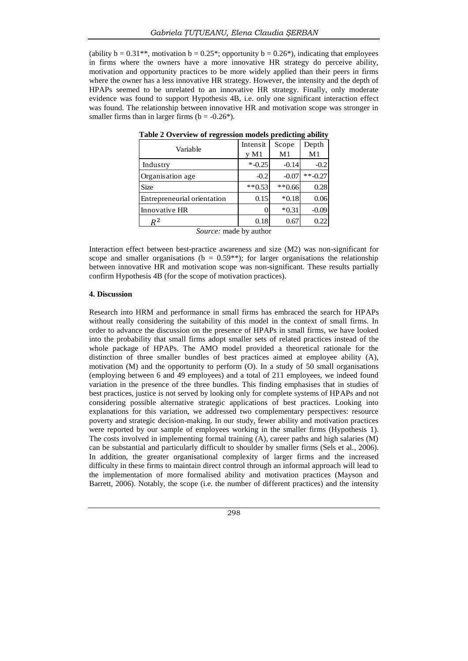(ability  $b = 0.31$ <sup>\*\*</sup>, motivation  $b = 0.25$ <sup>\*</sup>; opportunity  $b = 0.26$ <sup>\*</sup>), indicating that employees in firms where the owners have a more innovative HR strategy do perceive ability, motivation and opportunity practices to be more widely applied than their peers in firms where the owner has a less innovative HR strategy. However, the intensity and the depth of HPAPs seemed to be unrelated to an innovative HR strategy. Finally, only moderate evidence was found to support Hypothesis 4B, i.e. only one significant interaction effect was found. The relationship between innovative HR and motivation scope was stronger in smaller firms than in larger firms ( $b = -0.26$ <sup>\*</sup>).

| Variable                    | Intensit  | Scope          | Depth     |  |
|-----------------------------|-----------|----------------|-----------|--|
|                             | M1        | M <sub>1</sub> | M1        |  |
| Industry                    | $* -0.25$ | $-0.14$        | $-0.2$    |  |
| Organisation age            | $-0.2$    | $-0.07$        | $**-0.27$ |  |
| <b>Size</b>                 | $**0.53$  | $**0.66$       | 0.28      |  |
| Entrepreneurial orientation | 0.15      | $*0.18$        | 0.06      |  |
| Innovative HR               | 0         | $*0.31$        | $-0.09$   |  |
| R2                          | 0.18      | 0.67           | 0.22      |  |

| Table 2 Overview of regression models predicting ability |  |  |
|----------------------------------------------------------|--|--|
|----------------------------------------------------------|--|--|

*Source:* made by author

Interaction effect between best-practice awareness and size (M2) was non-significant for scope and smaller organisations ( $b = 0.59$ \*\*); for larger organisations the relationship between innovative HR and motivation scope was non-significant. These results partially confirm Hypothesis 4B (for the scope of motivation practices).

#### **4. Discussion**

Research into HRM and performance in small firms has embraced the search for HPAPs without really considering the suitability of this model in the context of small firms. In order to advance the discussion on the presence of HPAPs in small firms, we have looked into the probability that small firms adopt smaller sets of related practices instead of the whole package of HPAPs. The AMO model provided a theoretical rationale for the distinction of three smaller bundles of best practices aimed at employee ability (A), motivation (M) and the opportunity to perform (O). In a study of 50 small organisations (employing between 6 and 49 employees) and a total of 211 employees, we indeed found variation in the presence of the three bundles. This finding emphasises that in studies of best practices, justice is not served by looking only for complete systems of HPAPs and not considering possible alternative strategic applications of best practices. Looking into explanations for this variation, we addressed two complementary perspectives: resource poverty and strategic decision-making. In our study, fewer ability and motivation practices were reported by our sample of employees working in the smaller firms (Hypothesis 1). The costs involved in implementing formal training (A), career paths and high salaries (M) can be substantial and particularly difficult to shoulder by smaller firms (Sels et al., 2006). In addition, the greater organisational complexity of larger firms and the increased difficulty in these firms to maintain direct control through an informal approach will lead to the implementation of more formalised ability and motivation practices (Mayson and Barrett, 2006). Notably, the scope (i.e. the number of different practices) and the intensity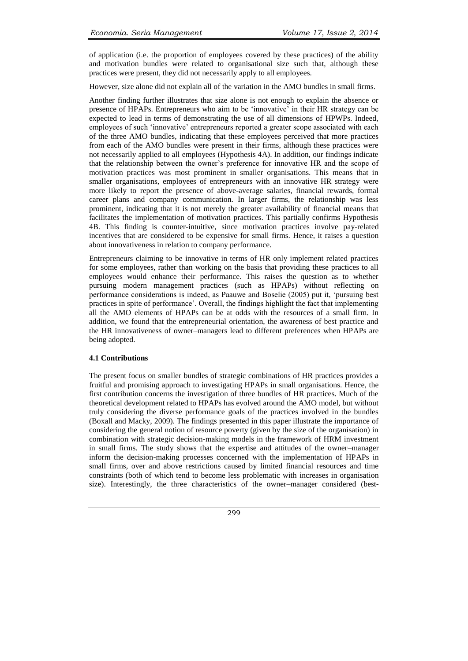of application (i.e. the proportion of employees covered by these practices) of the ability and motivation bundles were related to organisational size such that, although these practices were present, they did not necessarily apply to all employees.

However, size alone did not explain all of the variation in the AMO bundles in small firms.

Another finding further illustrates that size alone is not enough to explain the absence or presence of HPAPs. Entrepreneurs who aim to be 'innovative' in their HR strategy can be expected to lead in terms of demonstrating the use of all dimensions of HPWPs. Indeed, employees of such 'innovative' entrepreneurs reported a greater scope associated with each of the three AMO bundles, indicating that these employees perceived that more practices from each of the AMO bundles were present in their firms, although these practices were not necessarily applied to all employees (Hypothesis 4A). In addition, our findings indicate that the relationship between the owner's preference for innovative HR and the scope of motivation practices was most prominent in smaller organisations. This means that in smaller organisations, employees of entrepreneurs with an innovative HR strategy were more likely to report the presence of above-average salaries, financial rewards, formal career plans and company communication. In larger firms, the relationship was less prominent, indicating that it is not merely the greater availability of financial means that facilitates the implementation of motivation practices. This partially confirms Hypothesis 4B. This finding is counter-intuitive, since motivation practices involve pay-related incentives that are considered to be expensive for small firms. Hence, it raises a question about innovativeness in relation to company performance.

Entrepreneurs claiming to be innovative in terms of HR only implement related practices for some employees, rather than working on the basis that providing these practices to all employees would enhance their performance. This raises the question as to whether pursuing modern management practices (such as HPAPs) without reflecting on performance considerations is indeed, as Paauwe and Boselie (2005) put it, 'pursuing best practices in spite of performance'. Overall, the findings highlight the fact that implementing all the AMO elements of HPAPs can be at odds with the resources of a small firm. In addition, we found that the entrepreneurial orientation, the awareness of best practice and the HR innovativeness of owner–managers lead to different preferences when HPAPs are being adopted.

### **4.1 Contributions**

The present focus on smaller bundles of strategic combinations of HR practices provides a fruitful and promising approach to investigating HPAPs in small organisations. Hence, the first contribution concerns the investigation of three bundles of HR practices. Much of the theoretical development related to HPAPs has evolved around the AMO model, but without truly considering the diverse performance goals of the practices involved in the bundles (Boxall and Macky, 2009). The findings presented in this paper illustrate the importance of considering the general notion of resource poverty (given by the size of the organisation) in combination with strategic decision-making models in the framework of HRM investment in small firms. The study shows that the expertise and attitudes of the owner–manager inform the decision-making processes concerned with the implementation of HPAPs in small firms, over and above restrictions caused by limited financial resources and time constraints (both of which tend to become less problematic with increases in organisation size). Interestingly, the three characteristics of the owner–manager considered (best-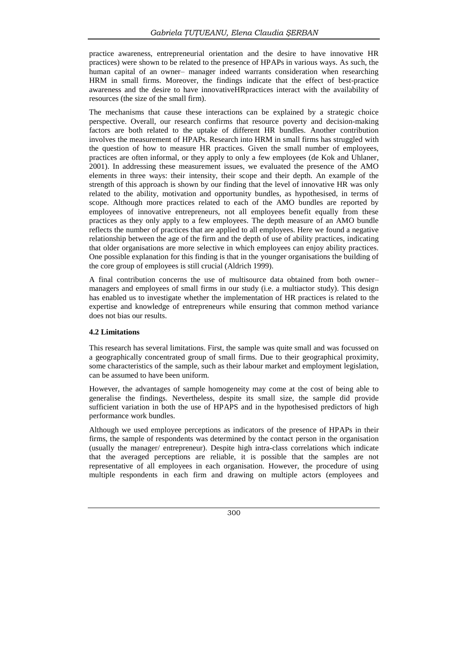practice awareness, entrepreneurial orientation and the desire to have innovative HR practices) were shown to be related to the presence of HPAPs in various ways. As such, the human capital of an owner– manager indeed warrants consideration when researching HRM in small firms. Moreover, the findings indicate that the effect of best-practice awareness and the desire to have innovativeHRpractices interact with the availability of resources (the size of the small firm).

The mechanisms that cause these interactions can be explained by a strategic choice perspective. Overall, our research confirms that resource poverty and decision-making factors are both related to the uptake of different HR bundles. Another contribution involves the measurement of HPAPs. Research into HRM in small firms has struggled with the question of how to measure HR practices. Given the small number of employees, practices are often informal, or they apply to only a few employees (de Kok and Uhlaner, 2001). In addressing these measurement issues, we evaluated the presence of the AMO elements in three ways: their intensity, their scope and their depth. An example of the strength of this approach is shown by our finding that the level of innovative HR was only related to the ability, motivation and opportunity bundles, as hypothesised, in terms of scope. Although more practices related to each of the AMO bundles are reported by employees of innovative entrepreneurs, not all employees benefit equally from these practices as they only apply to a few employees. The depth measure of an AMO bundle reflects the number of practices that are applied to all employees. Here we found a negative relationship between the age of the firm and the depth of use of ability practices, indicating that older organisations are more selective in which employees can enjoy ability practices. One possible explanation for this finding is that in the younger organisations the building of the core group of employees is still crucial (Aldrich 1999).

A final contribution concerns the use of multisource data obtained from both owner– managers and employees of small firms in our study (i.e. a multiactor study). This design has enabled us to investigate whether the implementation of HR practices is related to the expertise and knowledge of entrepreneurs while ensuring that common method variance does not bias our results.

### **4.2 Limitations**

This research has several limitations. First, the sample was quite small and was focussed on a geographically concentrated group of small firms. Due to their geographical proximity, some characteristics of the sample, such as their labour market and employment legislation, can be assumed to have been uniform.

However, the advantages of sample homogeneity may come at the cost of being able to generalise the findings. Nevertheless, despite its small size, the sample did provide sufficient variation in both the use of HPAPS and in the hypothesised predictors of high performance work bundles.

Although we used employee perceptions as indicators of the presence of HPAPs in their firms, the sample of respondents was determined by the contact person in the organisation (usually the manager/ entrepreneur). Despite high intra-class correlations which indicate that the averaged perceptions are reliable, it is possible that the samples are not representative of all employees in each organisation. However, the procedure of using multiple respondents in each firm and drawing on multiple actors (employees and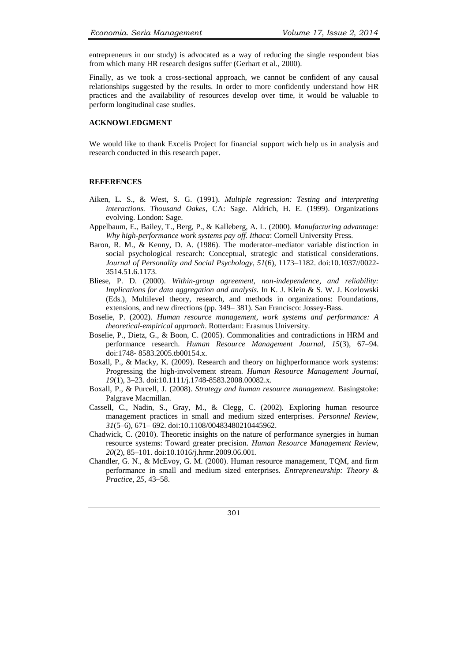entrepreneurs in our study) is advocated as a way of reducing the single respondent bias from which many HR research designs suffer (Gerhart et al., 2000).

Finally, as we took a cross-sectional approach, we cannot be confident of any causal relationships suggested by the results. In order to more confidently understand how HR practices and the availability of resources develop over time, it would be valuable to perform longitudinal case studies.

### **ACKNOWLEDGMENT**

We would like to thank Excelis Project for financial support wich help us in analysis and research conducted in this research paper.

#### **REFERENCES**

- Aiken, L. S., & West, S. G. (1991). *Multiple regression: Testing and interpreting interactions. Thousand Oakes*, CA: Sage. Aldrich, H. E. (1999). Organizations evolving. London: Sage.
- Appelbaum, E., Bailey, T., Berg, P., & Kalleberg, A. L. (2000). *Manufacturing advantage: Why high-performance work systems pay off. Ithaca*: Cornell University Press.
- Baron, R. M., & Kenny, D. A. (1986). The moderator–mediator variable distinction in social psychological research: Conceptual, strategic and statistical considerations. *Journal of Personality and Social Psychology, 51*(6), 1173–1182. doi:10.1037//0022- 3514.51.6.1173.
- Bliese, P. D. (2000). *Within-group agreement, non-independence, and reliability: Implications for data aggregation and analysis.* In K. J. Klein & S. W. J. Kozlowski (Eds.), Multilevel theory, research, and methods in organizations: Foundations, extensions, and new directions (pp. 349– 381). San Francisco: Jossey-Bass.
- Boselie, P. (2002). *Human resource management, work systems and performance: A theoretical-empirical approach*. Rotterdam: Erasmus University.
- Boselie, P., Dietz, G., & Boon, C. (2005). Commonalities and contradictions in HRM and performance research. *Human Resource Management Journal, 15*(3), 67–94. doi:1748- 8583.2005.tb00154.x.
- Boxall, P., & Macky, K. (2009). Research and theory on highperformance work systems: Progressing the high-involvement stream. *Human Resource Management Journal, 19*(1), 3–23. doi:10.1111/j.1748-8583.2008.00082.x.
- Boxall, P., & Purcell, J. (2008). *Strategy and human resource management.* Basingstoke: Palgrave Macmillan.
- Cassell, C., Nadin, S., Gray, M., & Clegg, C. (2002). Exploring human resource management practices in small and medium sized enterprises. *Personnel Review, 31*(5–6), 671– 692. doi:10.1108/00483480210445962.
- Chadwick, C. (2010). Theoretic insights on the nature of performance synergies in human resource systems: Toward greater precision. *Human Resource Management Review, 20*(2), 85–101. doi:10.1016/j.hrmr.2009.06.001.
- Chandler, G. N., & McEvoy, G. M. (2000). Human resource management, TQM, and firm performance in small and medium sized enterprises. *Entrepreneurship: Theory & Practice, 25*, 43–58.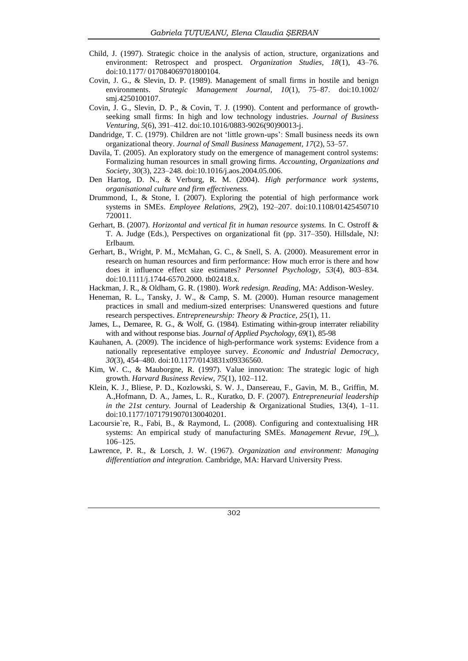- Child, J. (1997). Strategic choice in the analysis of action, structure, organizations and environment: Retrospect and prospect. *Organization Studies, 18*(1), 43–76. doi:10.1177/ 017084069701800104.
- Covin, J. G., & Slevin, D. P. (1989). Management of small firms in hostile and benign environments. *Strategic Management Journal, 10*(1), 75–87. doi:10.1002/ smj.4250100107.
- Covin, J. G., Slevin, D. P., & Covin, T. J. (1990). Content and performance of growthseeking small firms: In high and low technology industries. *Journal of Business Venturing, 5*(6), 391–412. doi:10.1016/0883-9026(90)90013-j.
- Dandridge, T. C. (1979). Children are not 'little grown-ups': Small business needs its own organizational theory. *Journal of Small Business Management, 17*(2), 53–57.
- Davila, T. (2005). An exploratory study on the emergence of management control systems: Formalizing human resources in small growing firms. *Accounting, Organizations and Society, 30*(3), 223–248. doi:10.1016/j.aos.2004.05.006.
- Den Hartog, D. N., & Verburg, R. M. (2004). *High performance work systems, organisational culture and firm effectiveness.*
- Drummond, I., & Stone, I. (2007). Exploring the potential of high performance work systems in SMEs. *Employee Relations, 29*(2), 192–207. doi:10.1108/01425450710 720011.
- Gerhart, B. (2007). *Horizontal and vertical fit in human resource systems.* In C. Ostroff & T. A. Judge (Eds.), Perspectives on organizational fit (pp. 317–350). Hillsdale, NJ: Erlbaum.
- Gerhart, B., Wright, P. M., McMahan, G. C., & Snell, S. A. (2000). Measurement error in research on human resources and firm performance: How much error is there and how does it influence effect size estimates? *Personnel Psychology, 53*(4), 803–834. doi:10.1111/j.1744-6570.2000. tb02418.x.
- Hackman, J. R., & Oldham, G. R. (1980). *Work redesign. Reading*, MA: Addison-Wesley.
- Heneman, R. L., Tansky, J. W., & Camp, S. M. (2000). Human resource management practices in small and medium-sized enterprises: Unanswered questions and future research perspectives. *Entrepreneurship: Theory & Practice, 25*(1), 11.
- James, L., Demaree, R. G., & Wolf, G. (1984). Estimating within-group interrater reliability with and without response bias. *Journal of Applied Psychology, 69*(1), 85-98
- Kauhanen, A. (2009). The incidence of high-performance work systems: Evidence from a nationally representative employee survey. *Economic and Industrial Democracy, 30*(3), 454–480. doi:10.1177/0143831x09336560.
- Kim, W. C., & Mauborgne, R. (1997). Value innovation: The strategic logic of high growth. *Harvard Business Review, 75*(1), 102–112.
- Klein, K. J., Bliese, P. D., Kozlowski, S. W. J., Dansereau, F., Gavin, M. B., Griffin, M. A.,Hofmann, D. A., James, L. R., Kuratko, D. F. (2007). *Entrepreneurial leadership in the 21st century.* Journal of Leadership & Organizational Studies, 13(4), 1–11. doi:10.1177/10717919070130040201.
- Lacoursie`re, R., Fabi, B., & Raymond, L. (2008). Configuring and contextualising HR systems: An empirical study of manufacturing SMEs. *Management Revue, 19*(\_), 106–125.
- Lawrence, P. R., & Lorsch, J. W. (1967). *Organization and environment: Managing differentiation and integration.* Cambridge, MA: Harvard University Press.